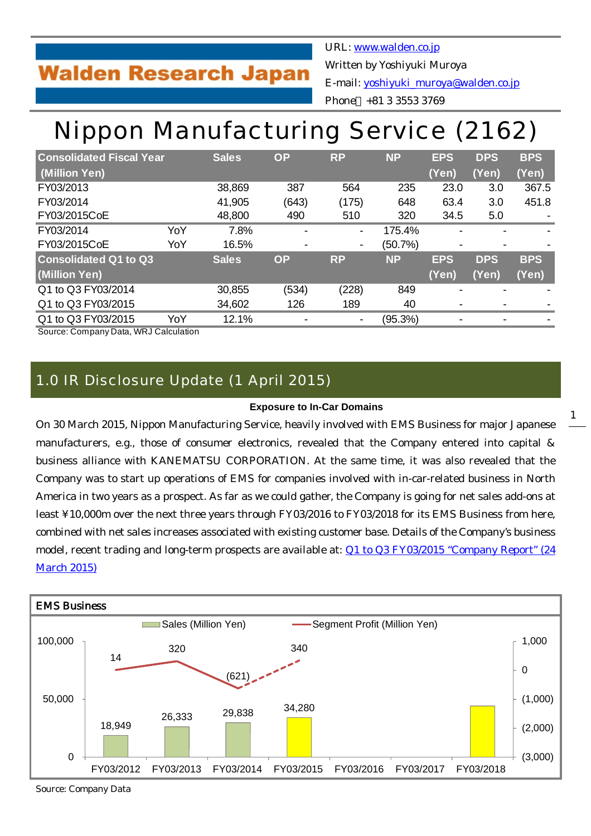## **Walden Research Japan**

URL: [www.walden.co.jp](http://www.walden.co.jp/) Written by Yoshiyuki Muroya E-mail: [yoshiyuki\\_muroya@walden.co.jp](mailto:yoshiyuki_muroya@walden.co.jp) Phone +81 3 3553 3769

# Nippon Manufacturing Service (2162)

| <b>Consolidated Fiscal Year</b> |     | <b>Sales</b> | <b>OP</b>                | <b>RP</b>                | <b>NP</b> | <b>EPS</b>               | <b>DPS</b> | <b>BPS</b>               |
|---------------------------------|-----|--------------|--------------------------|--------------------------|-----------|--------------------------|------------|--------------------------|
| (Million Yen)                   |     |              |                          |                          |           | (Yen)                    | (Yen)      | (Yen)                    |
| FY03/2013                       |     | 38,869       | 387                      | 564                      | 235       | 23.0                     | 3.0        | 367.5                    |
| FY03/2014                       |     | 41,905       | (643)                    | (175)                    | 648       | 63.4                     | 3.0        | 451.8                    |
| FY03/2015CoE                    |     | 48,800       | 490                      | 510                      | 320       | 34.5                     | 5.0        |                          |
| FY03/2014                       | YoY | 7.8%         | $\overline{\phantom{0}}$ | $\overline{\phantom{a}}$ | 175.4%    |                          |            | $\overline{\phantom{0}}$ |
| FY03/2015CoE                    | YoY | 16.5%        | $\overline{\phantom{a}}$ | $\overline{\phantom{a}}$ | (50.7%)   |                          |            |                          |
| <b>Consolidated Q1 to Q3</b>    |     | <b>Sales</b> | <b>OP</b>                | <b>RP</b>                | <b>NP</b> | <b>EPS</b>               | <b>DPS</b> | <b>BPS</b>               |
| (Million Yen)                   |     |              |                          |                          |           | (Yen)                    | (Yen)      | (Yen)                    |
| Q1 to Q3 FY03/2014              |     | 30,855       | (534)                    | (228)                    | 849       |                          |            |                          |
| Q1 to Q3 FY03/2015              |     | 34,602       | 126                      | 189                      | 40        |                          |            |                          |
| Q1 to Q3 FY03/2015              | YoY | 12.1%        |                          | $\overline{\phantom{a}}$ | (95.3%)   | $\overline{\phantom{a}}$ |            |                          |

Source: Company Data, WRJ Calculation

### 1.0 IR Disclosure Update (1 April 2015)

#### **Exposure to In-Car Domains**

On 30 March 2015, Nippon Manufacturing Service, heavily involved with EMS Business for major Japanese manufacturers, e.g., those of consumer electronics, revealed that the Company entered into capital & business alliance with KANEMATSU CORPORATION. At the same time, it was also revealed that the Company was to start up operations of EMS for companies involved with in-car-related business in North America in two years as a prospect. As far as we could gather, the Company is going for net sales add-ons at least ¥10,000m over the next three years through FY03/2016 to FY03/2018 for its EMS Business from here, combined with net sales increases associated with existing customer base. Details of the Company's business model, recent trading and long-term prospects are available at: [Q1 to Q3 FY03/2015 "Company Report" \(24](http://walden.co.jp/pdf/2162_nms_2015_03_q3_report_2015_03_24_english.pdf) [March 2015\)](http://walden.co.jp/pdf/2162_nms_2015_03_q3_report_2015_03_24_english.pdf)



Source: Company Data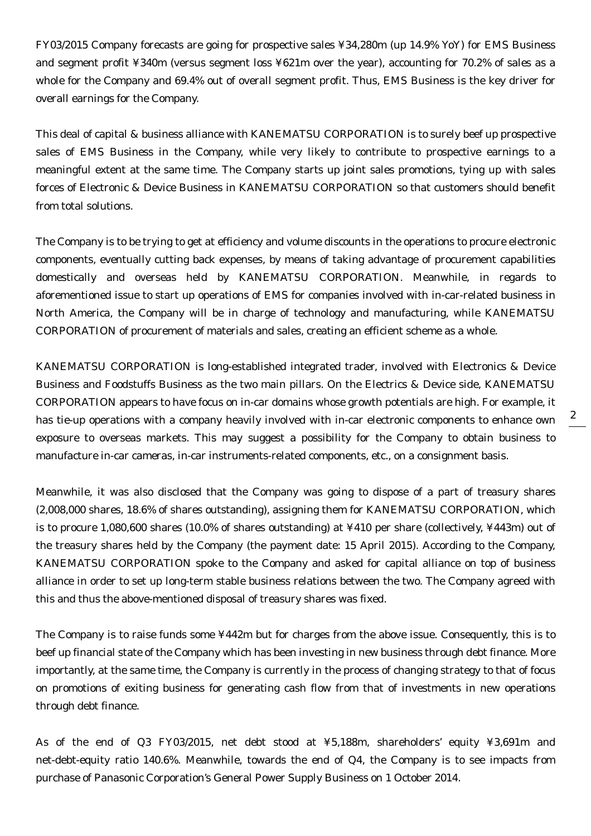FY03/2015 Company forecasts are going for prospective sales ¥34,280m (up 14.9% YoY) for EMS Business and segment profit ¥340m (versus segment loss ¥621m over the year), accounting for 70.2% of sales as a whole for the Company and 69.4% out of overall segment profit. Thus, EMS Business is the key driver for overall earnings for the Company.

This deal of capital & business alliance with KANEMATSU CORPORATION is to surely beef up prospective sales of EMS Business in the Company, while very likely to contribute to prospective earnings to a meaningful extent at the same time. The Company starts up joint sales promotions, tying up with sales forces of Electronic & Device Business in KANEMATSU CORPORATION so that customers should benefit from total solutions.

The Company is to be trying to get at efficiency and volume discounts in the operations to procure electronic components, eventually cutting back expenses, by means of taking advantage of procurement capabilities domestically and overseas held by KANEMATSU CORPORATION. Meanwhile, in regards to aforementioned issue to start up operations of EMS for companies involved with in-car-related business in North America, the Company will be in charge of technology and manufacturing, while KANEMATSU CORPORATION of procurement of materials and sales, creating an efficient scheme as a whole.

KANEMATSU CORPORATION is long-established integrated trader, involved with Electronics & Device Business and Foodstuffs Business as the two main pillars. On the Electrics & Device side, KANEMATSU CORPORATION appears to have focus on in-car domains whose growth potentials are high. For example, it has tie-up operations with a company heavily involved with in-car electronic components to enhance own exposure to overseas markets. This may suggest a possibility for the Company to obtain business to manufacture in-car cameras, in-car instruments-related components, etc., on a consignment basis.

Meanwhile, it was also disclosed that the Company was going to dispose of a part of treasury shares (2,008,000 shares, 18.6% of shares outstanding), assigning them for KANEMATSU CORPORATION, which is to procure 1,080,600 shares (10.0% of shares outstanding) at ¥410 per share (collectively, ¥443m) out of the treasury shares held by the Company (the payment date: 15 April 2015). According to the Company, KANEMATSU CORPORATION spoke to the Company and asked for capital alliance on top of business alliance in order to set up long-term stable business relations between the two. The Company agreed with this and thus the above-mentioned disposal of treasury shares was fixed.

The Company is to raise funds some ¥442m but for charges from the above issue. Consequently, this is to beef up financial state of the Company which has been investing in new business through debt finance. More importantly, at the same time, the Company is currently in the process of changing strategy to that of focus on promotions of exiting business for generating cash flow from that of investments in new operations through debt finance.

As of the end of Q3 FY03/2015, net debt stood at ¥5,188m, shareholders' equity ¥3,691m and net-debt-equity ratio 140.6%. Meanwhile, towards the end of Q4, the Company is to see impacts from purchase of Panasonic Corporation's General Power Supply Business on 1 October 2014.